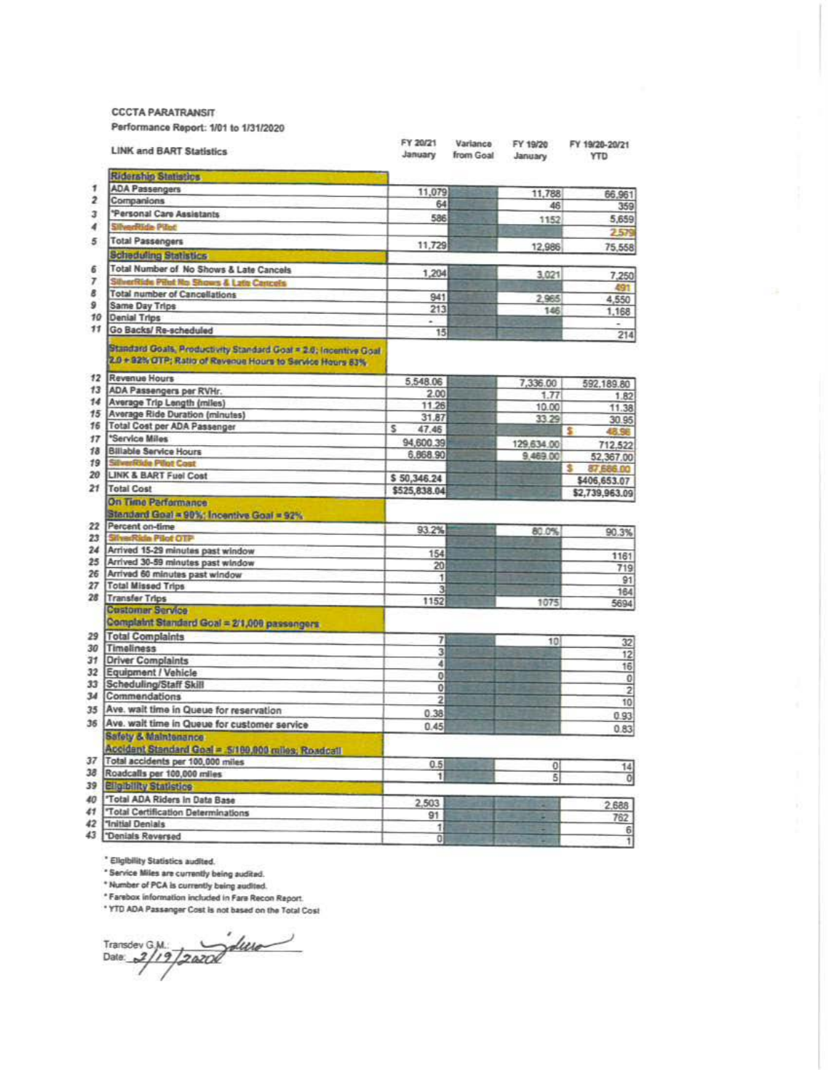**CCCTA PARATRANSIT** 

Performance Report: 1/01 to 1/31/2020

| <b>LINK and BART Statistics</b>                                                                                                | FY 20/21<br>January | Variance<br>from Goal | FY 19/20<br>January | FY 19/20-20/21<br><b>YTD</b> |
|--------------------------------------------------------------------------------------------------------------------------------|---------------------|-----------------------|---------------------|------------------------------|
| <b>Ridership Statistics</b>                                                                                                    |                     |                       |                     |                              |
| <b>ADA Passengers</b>                                                                                                          | 11,079              |                       | 11,788              | 66,961                       |
| Companions                                                                                                                     | 64                  |                       | 46                  | 359                          |
| "Personal Care Assistants                                                                                                      | 586                 |                       | 1152                | 5,659                        |
| <b>Ride Pilot</b>                                                                                                              |                     |                       |                     | 2.579                        |
| <b>Total Passengers</b>                                                                                                        |                     |                       |                     |                              |
| <b>Scheduling Statistics</b>                                                                                                   | 11,729              |                       | 12,986              | 75,558                       |
| Total Number of No Shows & Late Cancels                                                                                        |                     |                       |                     |                              |
| SilverRide Pilot No Shows & Late Cancels                                                                                       | 1,204               |                       | 3,021               | 7,250                        |
| <b>Total number of Cancellations</b>                                                                                           |                     |                       |                     | 491                          |
| Same Day Trips                                                                                                                 | 941                 |                       | 2.965               | 4,550                        |
| 10<br>Denial Trips                                                                                                             | 213                 |                       | 146                 | 1,168                        |
| 11<br>Go Backs/ Re-scheduled                                                                                                   | ٠<br>15             |                       |                     | ÷<br>214                     |
| Standard Goals, Productivity Standard Goal = 2.0; Incentive Goal<br>2.0 + 92% OTP; Ratio of Revenue Hours to Service Hours 63% |                     |                       |                     |                              |
| Revenue Hours<br>12                                                                                                            | 5,548.06            |                       | 7,336.00            | 592,189.80                   |
| ADA Passengers per RVHr.<br>13                                                                                                 | 2.00                |                       | 1.77                | 1.82                         |
| 14<br>Average Trip Length (miles)                                                                                              | 11.26               |                       | 10.00               | 11.38                        |
| <b>Average Ride Duration (minutes)</b><br>15                                                                                   | 31.87               |                       | 33.29               | 30.95                        |
| 16<br>Total Cost per ADA Passenger<br>17                                                                                       | s<br>47.46          |                       |                     | s<br>48.96                   |
| *Service Miles                                                                                                                 | 94,600.39           |                       | 129,634.00          | 712,522                      |
| <b>Billable Service Hours</b><br>18<br>19                                                                                      | 6,868.90            |                       | 9,469.00            | 52,367.00                    |
| <b>SilverRide Pilot Cost</b>                                                                                                   |                     |                       |                     | 60,883,78<br>s               |
| 20<br><b>LINK &amp; BART Fuel Cost</b><br>21                                                                                   | \$50,346.24         |                       |                     | \$406,653.07                 |
| <b>Total Cost</b>                                                                                                              | \$525,838.04        |                       |                     | \$2,739,963.09               |
| On Time Parformance<br>Standard Goal = 90%; Incentive Goal = 92%                                                               |                     |                       |                     |                              |
| Percent on-time<br>22<br>23                                                                                                    | 93.2%               |                       | 80.0%               | 90.3%                        |
| <b>SilverRide Pilot OTP</b>                                                                                                    |                     |                       |                     |                              |
| 24<br>Arrived 15-29 minutes past window                                                                                        | 154                 |                       |                     | 1161                         |
| 25 Arrived 30-59 minutes past window                                                                                           | 20                  |                       |                     | 719                          |
| 26<br>Arrived 60 minutes past window                                                                                           | 1                   |                       |                     | 91                           |
| <b>Total Missed Trips</b><br>27<br>28                                                                                          | 3                   |                       |                     | 164                          |
| <b>Transfer Trips</b>                                                                                                          | 1152                |                       | 1075                | 5694                         |
| <b>Customer Service</b><br>Complaint Standard Goal = 2/1,000 passengers                                                        |                     |                       |                     |                              |
| 29 Total Complaints                                                                                                            | 7                   |                       | 10                  | 32                           |
| Timeliness<br>30                                                                                                               | $\overline{3}$      |                       |                     | 12                           |
| <b>Driver Complaints</b><br>31                                                                                                 | 4                   |                       |                     | 16                           |
| 32 Equipment / Vehicle                                                                                                         | o                   |                       |                     | $\theta$                     |
| 33<br>Scheduling/Staff Skill                                                                                                   | 0                   |                       |                     | $\overline{2}$               |
| 34<br>Commendations<br>35                                                                                                      | $\overline{2}$      |                       |                     | 10                           |
| Ave. wait time in Queue for reservation                                                                                        | 0.38                |                       |                     | 0.93                         |
| 36 Ave. wait time in Queue for customer service                                                                                | 0.45                |                       |                     | 0.83                         |
| Safety & Maintenance<br>Accident Standard Goal = 5/199,900 miles; Roadcall                                                     |                     |                       |                     |                              |
| 37 Total accidents per 100,000 miles                                                                                           |                     |                       |                     |                              |
| 38 Roadcalls per 100,000 miles                                                                                                 | 0.5                 |                       | 0I                  | $\frac{14}{0}$               |
| <b>39 Eligibility Statistics</b>                                                                                               | 11                  |                       | $\overline{5}$      |                              |
| 40 Total ADA Riders In Data Base                                                                                               |                     |                       |                     |                              |
| 41   Total Certification Determinations                                                                                        | 2,503               |                       |                     | 2,688                        |
| Tnitial Denials                                                                                                                | 91                  |                       | ۰                   | 762                          |
|                                                                                                                                | 1                   |                       |                     | 6<br>1                       |
| Denials Reversed                                                                                                               | $\Omega$            |                       | ۰                   |                              |

\* Eligibility Statistics audited.

\* Service Miles are currently being audited.

Service muss are currently being audited.<br>\* Number of PCA is currently being audited.<br>\* Farebox information included in Fare Recon Report.<br>\* YTO ADA Passanger Cost is not based on the Total Cost

Transdev GM Jacob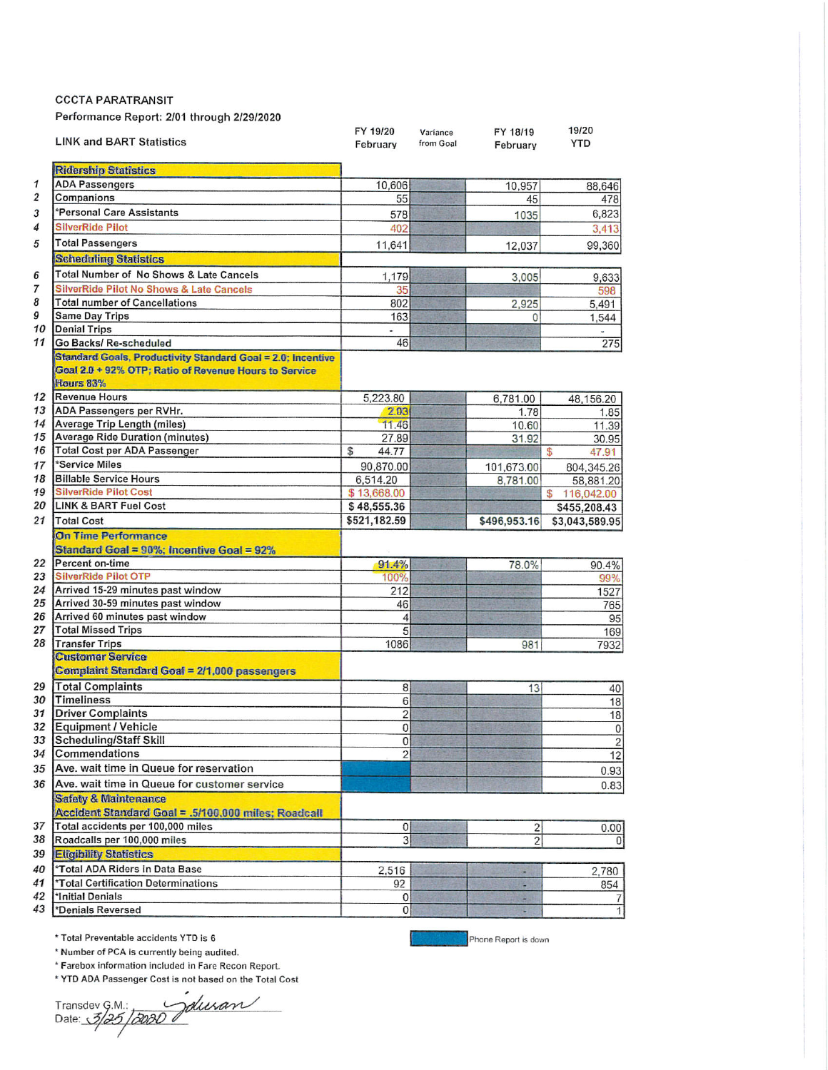**CCCTA PARATRANSIT** 

Performance Report: 2/01 through 2/29/2020

|                  | <b>LINK and BART Statistics</b>                                           | FY 19/20<br>February | Variance<br>from Goal | FY 18/19<br>February  | 19/20<br><b>YTD</b> |
|------------------|---------------------------------------------------------------------------|----------------------|-----------------------|-----------------------|---------------------|
|                  | <b>Ridership Statistics</b>                                               |                      |                       |                       |                     |
| 1                | <b>ADA Passengers</b>                                                     | 10,606               |                       | 10,957                | 88,646              |
| $\boldsymbol{2}$ | Companions                                                                | 55                   |                       | 45                    | 478                 |
| 3                | *Personal Care Assistants                                                 | 578                  |                       | 1035                  | 6,823               |
| 4                | <b>SilverRide Pilot</b>                                                   | 402                  |                       |                       | 3,413               |
| 5                | <b>Total Passengers</b>                                                   | 11,641               |                       |                       |                     |
|                  | <b>Scheduling Statistics</b>                                              |                      |                       | 12,037                | 99,360              |
|                  | Total Number of No Shows & Late Cancels                                   |                      |                       |                       |                     |
| 6<br>7           | <b>SilverRide Pilot No Shows &amp; Late Cancels</b>                       | 1,179                |                       | 3,005                 | 9,633               |
| 8                | <b>Total number of Cancellations</b>                                      | 35<br>802            |                       |                       | 598                 |
| 9                | <b>Same Day Trips</b>                                                     | 163                  |                       | 2,925<br>$\mathbf{0}$ | 5,491               |
| 10               | <b>Denial Trips</b>                                                       | u,                   |                       |                       | 1,544               |
| 11               | Go Backs/ Re-scheduled                                                    | 46                   |                       |                       | 275                 |
|                  | <b>Standard Goals, Productivity Standard Goal = 2.0: Incentive</b>        |                      |                       |                       |                     |
|                  | Goal 2.0 + 92% OTP; Ratio of Revenue Hours to Service<br><b>Hours 83%</b> |                      |                       |                       |                     |
|                  | 12 Revenue Hours                                                          | 5.223.80             |                       | 6,781.00              | 48,156.20           |
|                  | 13 ADA Passengers per RVHr.                                               | 2.03                 |                       | 1.78                  | 1.85                |
|                  | 14 Average Trip Length (miles)                                            | 11.46                |                       | 10.60                 | 11.39               |
| 15               | <b>Average Ride Duration (minutes)</b>                                    | 27.89                |                       | 31.92                 | 30.95               |
| 16               | Total Cost per ADA Passenger                                              | \$<br>44.77          |                       |                       | \$<br>47.91         |
| 17               | *Service Miles                                                            | 90,870.00            |                       | 101,673.00            | 804,345.26          |
| 18               | <b>Billable Service Hours</b>                                             | 6,514.20             |                       | 8,781.00              | 58,881.20           |
| 19               | <b>SilverRide Pilot Cost</b>                                              | \$13,668.00          |                       |                       | 116,042.00<br>\$    |
| 20               | <b>LINK &amp; BART Fuel Cost</b>                                          | \$48,555.36          |                       |                       | \$455,208.43        |
| 21               | <b>Total Cost</b>                                                         | \$521,182.59         |                       | \$496,953.16          | \$3,043,589.95      |
|                  | <b>On Time Performance</b><br>Standard Goal = 90%; Incentive Goal = 92%   |                      |                       |                       |                     |
| 22               | <b>Percent on-time</b>                                                    | 91.4%                |                       | 78.0%                 | 90.4%               |
| 23               | <b>SilverRide Pilot OTP</b>                                               | 100%                 |                       |                       | 99%                 |
| 24               | Arrived 15-29 minutes past window                                         | 212                  |                       |                       | 1527                |
| 25<br>26         | Arrived 30-59 minutes past window                                         | 46                   |                       |                       | 765                 |
| 27               | Arrived 60 minutes past window<br><b>Total Missed Trips</b>               | 4<br>5               |                       |                       | 95                  |
|                  | 28 Transfer Trips                                                         | 1086                 |                       | 981                   | 169<br>7932         |
|                  | <b>Customer Service</b>                                                   |                      |                       |                       |                     |
|                  | <b>Complaint Standard Goal = 2/1,000 passengers</b>                       |                      |                       |                       |                     |
|                  | 29 Total Complaints                                                       | 8                    |                       | 13                    | 40                  |
|                  | 30 Timeliness                                                             | 6                    |                       |                       | 18                  |
| 31               | <b>Driver Complaints</b>                                                  | $\overline{c}$       |                       |                       | 18                  |
|                  | 32 Equipment / Vehicle                                                    | $\overline{0}$       |                       |                       | $\mathbf 0$         |
|                  | 33 Scheduling/Staff Skill                                                 | $\pmb{0}$            |                       |                       | $\overline{2}$      |
|                  | 34 Commendations                                                          | $\overline{c}$       |                       |                       | 12                  |
|                  | 35 Ave. wait time in Queue for reservation                                |                      |                       |                       | 0.93                |
|                  | 36 Ave. wait time in Queue for customer service                           |                      |                       |                       | 0.83                |
|                  | <b>Safety &amp; Maintenance</b>                                           |                      |                       |                       |                     |
|                  | Accident Standard Goal = .5/100,000 miles; Roadcall                       |                      |                       |                       |                     |
| 37               | Total accidents per 100,000 miles                                         | $\overline{0}$       |                       | $\overline{c}$        | 0.00                |
| 38               | Roadcalls per 100,000 miles                                               | 3                    |                       | $\overline{c}$        | 0                   |
| 39               | <b>Eligibility Statistics</b>                                             |                      |                       |                       |                     |
| 40               | *Total ADA Riders in Data Base                                            | 2,516                |                       |                       | 2,780               |
| 41               | *Total Certification Determinations                                       | 92                   |                       | H                     | 854                 |
| 42               | *Initial Denials                                                          | 0                    |                       | a                     | 7                   |
| 43               | *Denials Reversed                                                         | 0                    |                       |                       | $\mathbf{1}$        |

\* Total Preventable accidents YTD is 6

Phone Report is down

\* Number of PCA is currently being audited.

\* Farebox information included in Fare Recon Report.

\* YTD ADA Passenger Cost is not based on the Total Cost

Transdev G.M.:<br>Date: 3/25/2020 duran